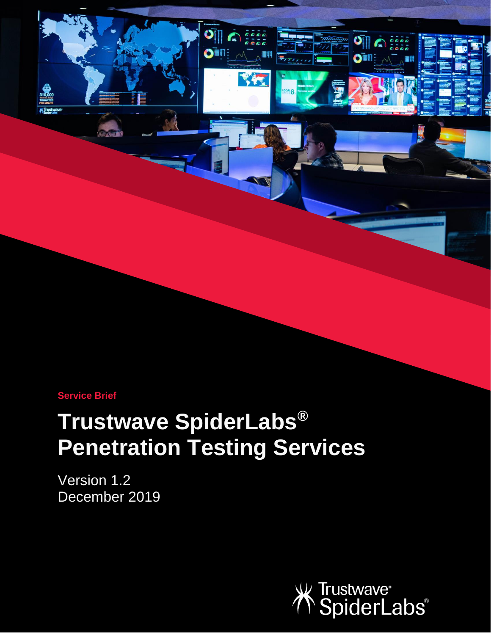**Service Brief**

# **Trustwave SpiderLabs® Penetration Testing Services**

 $\bullet$ 

**OTHE** 

**Time** 

Version 1.2 December 2019



 $O[|]$ 

ΟĪ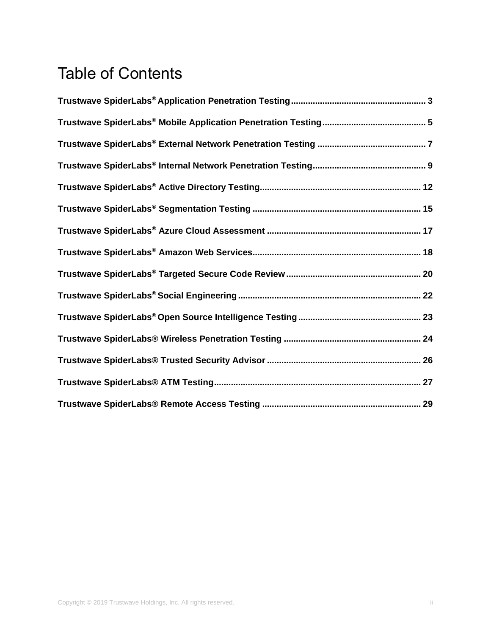## Table of Contents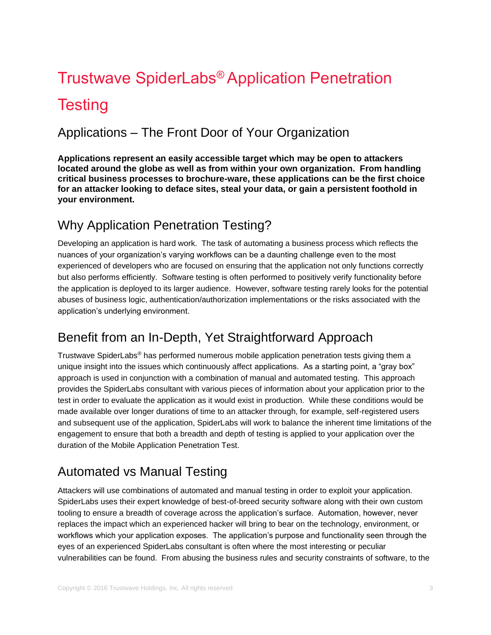# <span id="page-2-0"></span>Trustwave SpiderLabs® Application Penetration **Testing**

#### Applications – The Front Door of Your Organization

**Applications represent an easily accessible target which may be open to attackers located around the globe as well as from within your own organization. From handling critical business processes to brochure-ware, these applications can be the first choice for an attacker looking to deface sites, steal your data, or gain a persistent foothold in your environment.** 

#### Why Application Penetration Testing?

Developing an application is hard work. The task of automating a business process which reflects the nuances of your organization's varying workflows can be a daunting challenge even to the most experienced of developers who are focused on ensuring that the application not only functions correctly but also performs efficiently. Software testing is often performed to positively verify functionality before the application is deployed to its larger audience. However, software testing rarely looks for the potential abuses of business logic, authentication/authorization implementations or the risks associated with the application's underlying environment.

#### Benefit from an In-Depth, Yet Straightforward Approach

Trustwave SpiderLabs® has performed numerous mobile application penetration tests giving them a unique insight into the issues which continuously affect applications. As a starting point, a "gray box" approach is used in conjunction with a combination of manual and automated testing. This approach provides the SpiderLabs consultant with various pieces of information about your application prior to the test in order to evaluate the application as it would exist in production. While these conditions would be made available over longer durations of time to an attacker through, for example, self-registered users and subsequent use of the application, SpiderLabs will work to balance the inherent time limitations of the engagement to ensure that both a breadth and depth of testing is applied to your application over the duration of the Mobile Application Penetration Test.

#### Automated vs Manual Testing

Attackers will use combinations of automated and manual testing in order to exploit your application. SpiderLabs uses their expert knowledge of best-of-breed security software along with their own custom tooling to ensure a breadth of coverage across the application's surface. Automation, however, never replaces the impact which an experienced hacker will bring to bear on the technology, environment, or workflows which your application exposes. The application's purpose and functionality seen through the eyes of an experienced SpiderLabs consultant is often where the most interesting or peculiar vulnerabilities can be found. From abusing the business rules and security constraints of software, to the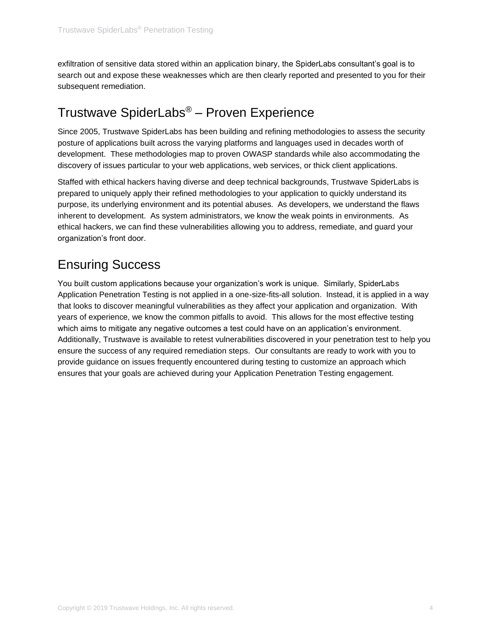exfiltration of sensitive data stored within an application binary, the SpiderLabs consultant's goal is to search out and expose these weaknesses which are then clearly reported and presented to you for their subsequent remediation.

#### Trustwave SpiderLabs® – Proven Experience

Since 2005, Trustwave SpiderLabs has been building and refining methodologies to assess the security posture of applications built across the varying platforms and languages used in decades worth of development. These methodologies map to proven OWASP standards while also accommodating the discovery of issues particular to your web applications, web services, or thick client applications.

Staffed with ethical hackers having diverse and deep technical backgrounds, Trustwave SpiderLabs is prepared to uniquely apply their refined methodologies to your application to quickly understand its purpose, its underlying environment and its potential abuses. As developers, we understand the flaws inherent to development. As system administrators, we know the weak points in environments. As ethical hackers, we can find these vulnerabilities allowing you to address, remediate, and guard your organization's front door.

### Ensuring Success

You built custom applications because your organization's work is unique. Similarly, SpiderLabs Application Penetration Testing is not applied in a one-size-fits-all solution. Instead, it is applied in a way that looks to discover meaningful vulnerabilities as they affect your application and organization. With years of experience, we know the common pitfalls to avoid. This allows for the most effective testing which aims to mitigate any negative outcomes a test could have on an application's environment. Additionally, Trustwave is available to retest vulnerabilities discovered in your penetration test to help you ensure the success of any required remediation steps. Our consultants are ready to work with you to provide guidance on issues frequently encountered during testing to customize an approach which ensures that your goals are achieved during your Application Penetration Testing engagement.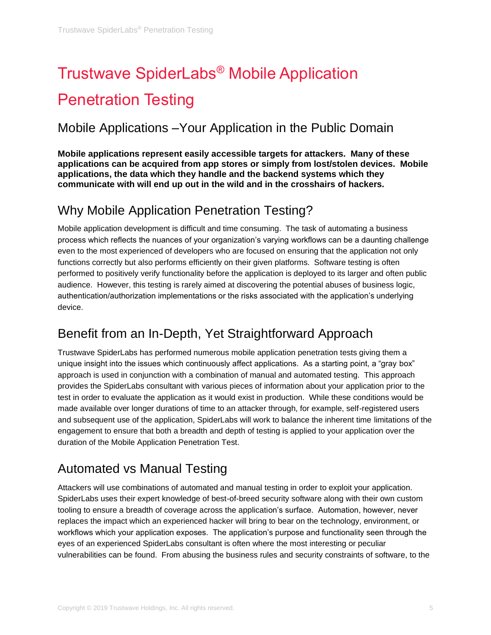# <span id="page-4-0"></span>Trustwave SpiderLabs® Mobile Application Penetration Testing

#### Mobile Applications –Your Application in the Public Domain

**Mobile applications represent easily accessible targets for attackers. Many of these applications can be acquired from app stores or simply from lost/stolen devices. Mobile applications, the data which they handle and the backend systems which they communicate with will end up out in the wild and in the crosshairs of hackers.** 

#### Why Mobile Application Penetration Testing?

Mobile application development is difficult and time consuming. The task of automating a business process which reflects the nuances of your organization's varying workflows can be a daunting challenge even to the most experienced of developers who are focused on ensuring that the application not only functions correctly but also performs efficiently on their given platforms. Software testing is often performed to positively verify functionality before the application is deployed to its larger and often public audience. However, this testing is rarely aimed at discovering the potential abuses of business logic, authentication/authorization implementations or the risks associated with the application's underlying device.

#### Benefit from an In-Depth, Yet Straightforward Approach

Trustwave SpiderLabs has performed numerous mobile application penetration tests giving them a unique insight into the issues which continuously affect applications. As a starting point, a "gray box" approach is used in conjunction with a combination of manual and automated testing. This approach provides the SpiderLabs consultant with various pieces of information about your application prior to the test in order to evaluate the application as it would exist in production. While these conditions would be made available over longer durations of time to an attacker through, for example, self-registered users and subsequent use of the application, SpiderLabs will work to balance the inherent time limitations of the engagement to ensure that both a breadth and depth of testing is applied to your application over the duration of the Mobile Application Penetration Test.

### Automated vs Manual Testing

Attackers will use combinations of automated and manual testing in order to exploit your application. SpiderLabs uses their expert knowledge of best-of-breed security software along with their own custom tooling to ensure a breadth of coverage across the application's surface. Automation, however, never replaces the impact which an experienced hacker will bring to bear on the technology, environment, or workflows which your application exposes. The application's purpose and functionality seen through the eyes of an experienced SpiderLabs consultant is often where the most interesting or peculiar vulnerabilities can be found. From abusing the business rules and security constraints of software, to the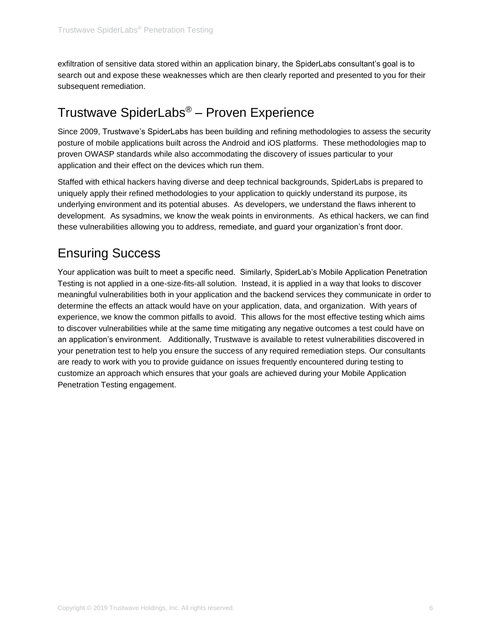exfiltration of sensitive data stored within an application binary, the SpiderLabs consultant's goal is to search out and expose these weaknesses which are then clearly reported and presented to you for their subsequent remediation.

#### Trustwave SpiderLabs® – Proven Experience

Since 2009, Trustwave's SpiderLabs has been building and refining methodologies to assess the security posture of mobile applications built across the Android and iOS platforms. These methodologies map to proven OWASP standards while also accommodating the discovery of issues particular to your application and their effect on the devices which run them.

Staffed with ethical hackers having diverse and deep technical backgrounds, SpiderLabs is prepared to uniquely apply their refined methodologies to your application to quickly understand its purpose, its underlying environment and its potential abuses. As developers, we understand the flaws inherent to development. As sysadmins, we know the weak points in environments. As ethical hackers, we can find these vulnerabilities allowing you to address, remediate, and guard your organization's front door.

#### Ensuring Success

Your application was built to meet a specific need. Similarly, SpiderLab's Mobile Application Penetration Testing is not applied in a one-size-fits-all solution. Instead, it is applied in a way that looks to discover meaningful vulnerabilities both in your application and the backend services they communicate in order to determine the effects an attack would have on your application, data, and organization. With years of experience, we know the common pitfalls to avoid. This allows for the most effective testing which aims to discover vulnerabilities while at the same time mitigating any negative outcomes a test could have on an application's environment. Additionally, Trustwave is available to retest vulnerabilities discovered in your penetration test to help you ensure the success of any required remediation steps. Our consultants are ready to work with you to provide guidance on issues frequently encountered during testing to customize an approach which ensures that your goals are achieved during your Mobile Application Penetration Testing engagement.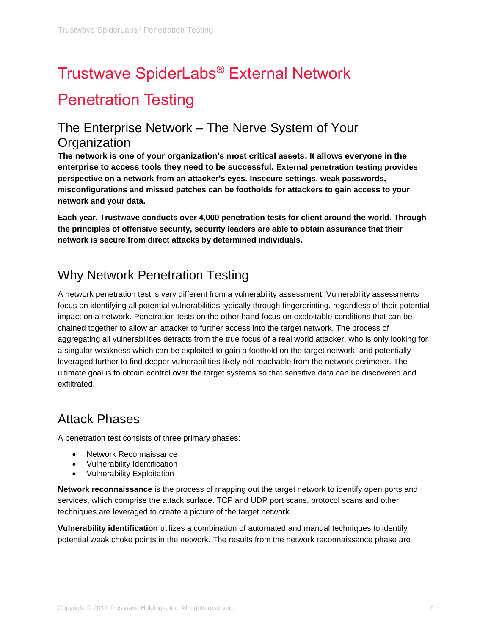# <span id="page-6-0"></span>Trustwave SpiderLabs® External Network Penetration Testing

#### The Enterprise Network – The Nerve System of Your **Organization**

**The network is one of your organization's most critical assets. It allows everyone in the enterprise to access tools they need to be successful. External penetration testing provides perspective on a network from an attacker's eyes. Insecure settings, weak passwords, misconfigurations and missed patches can be footholds for attackers to gain access to your network and your data.** 

**Each year, Trustwave conducts over 4,000 penetration tests for client around the world. Through the principles of offensive security, security leaders are able to obtain assurance that their network is secure from direct attacks by determined individuals.**

#### Why Network Penetration Testing

A network penetration test is very different from a vulnerability assessment. Vulnerability assessments focus on identifying all potential vulnerabilities typically through fingerprinting, regardless of their potential impact on a network. Penetration tests on the other hand focus on exploitable conditions that can be chained together to allow an attacker to further access into the target network. The process of aggregating all vulnerabilities detracts from the true focus of a real world attacker, who is only looking for a singular weakness which can be exploited to gain a foothold on the target network, and potentially leveraged further to find deeper vulnerabilities likely not reachable from the network perimeter. The ultimate goal is to obtain control over the target systems so that sensitive data can be discovered and exfiltrated.

#### Attack Phases

A penetration test consists of three primary phases:

- Network Reconnaissance
- Vulnerability Identification
- Vulnerability Exploitation

**Network reconnaissance** is the process of mapping out the target network to identify open ports and services, which comprise the attack surface. TCP and UDP port scans, protocol scans and other techniques are leveraged to create a picture of the target network.

**Vulnerability identification** utilizes a combination of automated and manual techniques to identify potential weak choke points in the network. The results from the network reconnaissance phase are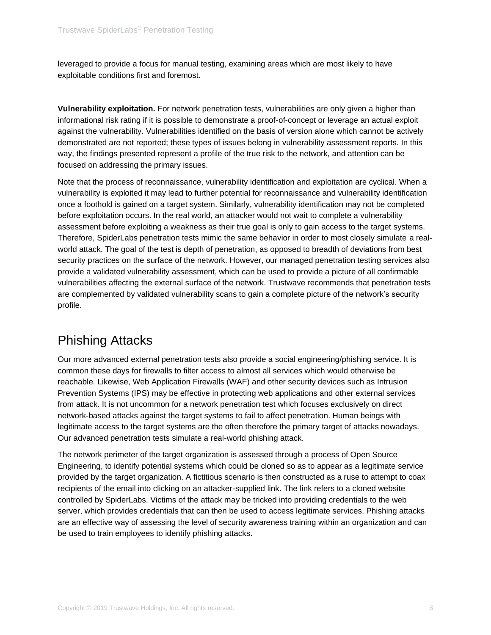leveraged to provide a focus for manual testing, examining areas which are most likely to have exploitable conditions first and foremost.

**Vulnerability exploitation.** For network penetration tests, vulnerabilities are only given a higher than informational risk rating if it is possible to demonstrate a proof-of-concept or leverage an actual exploit against the vulnerability. Vulnerabilities identified on the basis of version alone which cannot be actively demonstrated are not reported; these types of issues belong in vulnerability assessment reports. In this way, the findings presented represent a profile of the true risk to the network, and attention can be focused on addressing the primary issues.

Note that the process of reconnaissance, vulnerability identification and exploitation are cyclical. When a vulnerability is exploited it may lead to further potential for reconnaissance and vulnerability identification once a foothold is gained on a target system. Similarly, vulnerability identification may not be completed before exploitation occurs. In the real world, an attacker would not wait to complete a vulnerability assessment before exploiting a weakness as their true goal is only to gain access to the target systems. Therefore, SpiderLabs penetration tests mimic the same behavior in order to most closely simulate a realworld attack. The goal of the test is depth of penetration, as opposed to breadth of deviations from best security practices on the surface of the network. However, our managed penetration testing services also provide a validated vulnerability assessment, which can be used to provide a picture of all confirmable vulnerabilities affecting the external surface of the network. Trustwave recommends that penetration tests are complemented by validated vulnerability scans to gain a complete picture of the network's security profile.

#### Phishing Attacks

Our more advanced external penetration tests also provide a social engineering/phishing service. It is common these days for firewalls to filter access to almost all services which would otherwise be reachable. Likewise, Web Application Firewalls (WAF) and other security devices such as Intrusion Prevention Systems (IPS) may be effective in protecting web applications and other external services from attack. It is not uncommon for a network penetration test which focuses exclusively on direct network-based attacks against the target systems to fail to affect penetration. Human beings with legitimate access to the target systems are the often therefore the primary target of attacks nowadays. Our advanced penetration tests simulate a real-world phishing attack.

The network perimeter of the target organization is assessed through a process of Open Source Engineering, to identify potential systems which could be cloned so as to appear as a legitimate service provided by the target organization. A fictitious scenario is then constructed as a ruse to attempt to coax recipients of the email into clicking on an attacker-supplied link. The link refers to a cloned website controlled by SpiderLabs. Victims of the attack may be tricked into providing credentials to the web server, which provides credentials that can then be used to access legitimate services. Phishing attacks are an effective way of assessing the level of security awareness training within an organization and can be used to train employees to identify phishing attacks.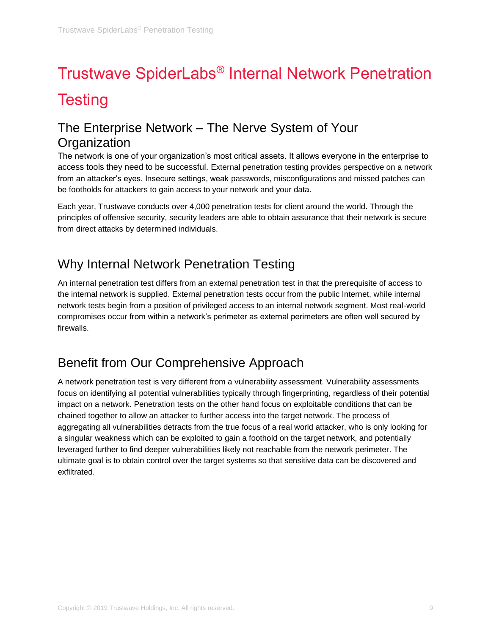# <span id="page-8-0"></span>Trustwave SpiderLabs® Internal Network Penetration **Testing**

#### The Enterprise Network – The Nerve System of Your **Organization**

The network is one of your organization's most critical assets. It allows everyone in the enterprise to access tools they need to be successful. External penetration testing provides perspective on a network from an attacker's eyes. Insecure settings, weak passwords, misconfigurations and missed patches can be footholds for attackers to gain access to your network and your data.

Each year, Trustwave conducts over 4,000 penetration tests for client around the world. Through the principles of offensive security, security leaders are able to obtain assurance that their network is secure from direct attacks by determined individuals.

#### Why Internal Network Penetration Testing

An internal penetration test differs from an external penetration test in that the prerequisite of access to the internal network is supplied. External penetration tests occur from the public Internet, while internal network tests begin from a position of privileged access to an internal network segment. Most real-world compromises occur from within a network's perimeter as external perimeters are often well secured by firewalls.

#### Benefit from Our Comprehensive Approach

A network penetration test is very different from a vulnerability assessment. Vulnerability assessments focus on identifying all potential vulnerabilities typically through fingerprinting, regardless of their potential impact on a network. Penetration tests on the other hand focus on exploitable conditions that can be chained together to allow an attacker to further access into the target network. The process of aggregating all vulnerabilities detracts from the true focus of a real world attacker, who is only looking for a singular weakness which can be exploited to gain a foothold on the target network, and potentially leveraged further to find deeper vulnerabilities likely not reachable from the network perimeter. The ultimate goal is to obtain control over the target systems so that sensitive data can be discovered and exfiltrated.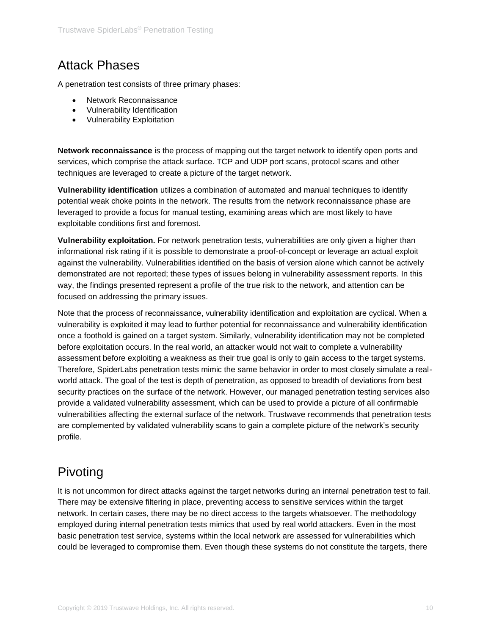#### Attack Phases

A penetration test consists of three primary phases:

- Network Reconnaissance
- Vulnerability Identification
- Vulnerability Exploitation

**Network reconnaissance** is the process of mapping out the target network to identify open ports and services, which comprise the attack surface. TCP and UDP port scans, protocol scans and other techniques are leveraged to create a picture of the target network.

**Vulnerability identification** utilizes a combination of automated and manual techniques to identify potential weak choke points in the network. The results from the network reconnaissance phase are leveraged to provide a focus for manual testing, examining areas which are most likely to have exploitable conditions first and foremost.

**Vulnerability exploitation.** For network penetration tests, vulnerabilities are only given a higher than informational risk rating if it is possible to demonstrate a proof-of-concept or leverage an actual exploit against the vulnerability. Vulnerabilities identified on the basis of version alone which cannot be actively demonstrated are not reported; these types of issues belong in vulnerability assessment reports. In this way, the findings presented represent a profile of the true risk to the network, and attention can be focused on addressing the primary issues.

Note that the process of reconnaissance, vulnerability identification and exploitation are cyclical. When a vulnerability is exploited it may lead to further potential for reconnaissance and vulnerability identification once a foothold is gained on a target system. Similarly, vulnerability identification may not be completed before exploitation occurs. In the real world, an attacker would not wait to complete a vulnerability assessment before exploiting a weakness as their true goal is only to gain access to the target systems. Therefore, SpiderLabs penetration tests mimic the same behavior in order to most closely simulate a realworld attack. The goal of the test is depth of penetration, as opposed to breadth of deviations from best security practices on the surface of the network. However, our managed penetration testing services also provide a validated vulnerability assessment, which can be used to provide a picture of all confirmable vulnerabilities affecting the external surface of the network. Trustwave recommends that penetration tests are complemented by validated vulnerability scans to gain a complete picture of the network's security profile.

#### Pivoting

It is not uncommon for direct attacks against the target networks during an internal penetration test to fail. There may be extensive filtering in place, preventing access to sensitive services within the target network. In certain cases, there may be no direct access to the targets whatsoever. The methodology employed during internal penetration tests mimics that used by real world attackers. Even in the most basic penetration test service, systems within the local network are assessed for vulnerabilities which could be leveraged to compromise them. Even though these systems do not constitute the targets, there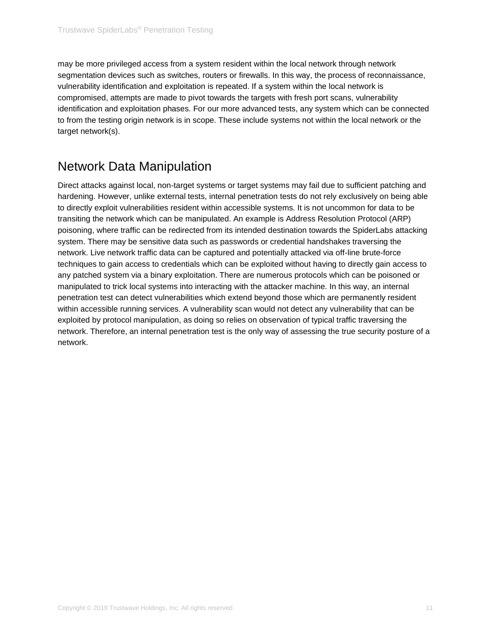may be more privileged access from a system resident within the local network through network segmentation devices such as switches, routers or firewalls. In this way, the process of reconnaissance, vulnerability identification and exploitation is repeated. If a system within the local network is compromised, attempts are made to pivot towards the targets with fresh port scans, vulnerability identification and exploitation phases. For our more advanced tests, any system which can be connected to from the testing origin network is in scope. These include systems not within the local network or the target network(s).

#### Network Data Manipulation

Direct attacks against local, non-target systems or target systems may fail due to sufficient patching and hardening. However, unlike external tests, internal penetration tests do not rely exclusively on being able to directly exploit vulnerabilities resident within accessible systems. It is not uncommon for data to be transiting the network which can be manipulated. An example is Address Resolution Protocol (ARP) poisoning, where traffic can be redirected from its intended destination towards the SpiderLabs attacking system. There may be sensitive data such as passwords or credential handshakes traversing the network. Live network traffic data can be captured and potentially attacked via off-line brute-force techniques to gain access to credentials which can be exploited without having to directly gain access to any patched system via a binary exploitation. There are numerous protocols which can be poisoned or manipulated to trick local systems into interacting with the attacker machine. In this way, an internal penetration test can detect vulnerabilities which extend beyond those which are permanently resident within accessible running services. A vulnerability scan would not detect any vulnerability that can be exploited by protocol manipulation, as doing so relies on observation of typical traffic traversing the network. Therefore, an internal penetration test is the only way of assessing the true security posture of a network.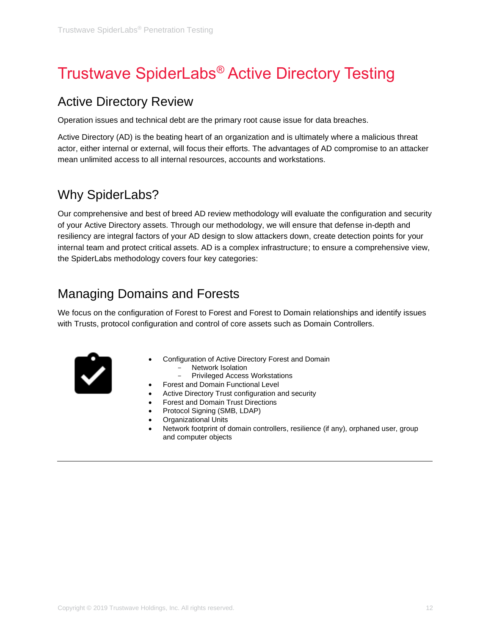# <span id="page-11-0"></span>Trustwave SpiderLabs® Active Directory Testing

#### Active Directory Review

Operation issues and technical debt are the primary root cause issue for data breaches.

Active Directory (AD) is the beating heart of an organization and is ultimately where a malicious threat actor, either internal or external, will focus their efforts. The advantages of AD compromise to an attacker mean unlimited access to all internal resources, accounts and workstations.

#### Why SpiderLabs?

Our comprehensive and best of breed AD review methodology will evaluate the configuration and security of your Active Directory assets. Through our methodology, we will ensure that defense in-depth and resiliency are integral factors of your AD design to slow attackers down, create detection points for your internal team and protect critical assets. AD is a complex infrastructure; to ensure a comprehensive view, the SpiderLabs methodology covers four key categories:

#### Managing Domains and Forests

We focus on the configuration of Forest to Forest and Forest to Domain relationships and identify issues with Trusts, protocol configuration and control of core assets such as Domain Controllers.



- Configuration of Active Directory Forest and Domain
	- [Network Isolation](https://wiki.trustwave.com/display/sl/AD+Templates#ADTemplates-Poor_Network_Isolation)
	- [Privileged Access Workstations](https://wiki.trustwave.com/display/sl/Privileged+Access+Workstations)
- Forest an[d Domain Functional Level](https://wiki.trustwave.com/display/sl/AD+Templates#ADTemplates-functional_level)
- [Active Directory Trust configuration and security](https://wiki.trustwave.com/display/sl/AD+Templates#ADTemplates-domain_trusts)
- Forest and Domain Trust Directions
- Protocol Signing (SMB, LDAP)
- Organizational Units
- Network footprint of domain controllers, resilience (if any), orphaned user, group and computer objects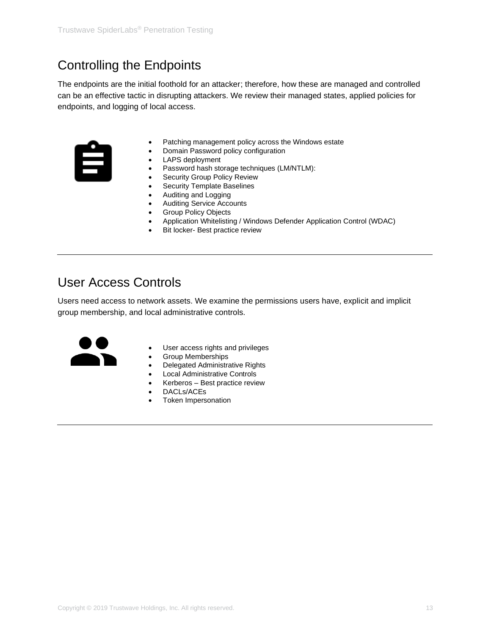#### Controlling the Endpoints

The endpoints are the initial foothold for an attacker; therefore, how these are managed and controlled can be an effective tactic in disrupting attackers. We review their managed states, applied policies for endpoints, and logging of local access.



- Patching management policy across the Windows estate
- Domain Password policy configuration
- LAPS deployment
- Password hash storage techniques (LM/NTLM):
- Security Group Policy Review
- Security Template Baselines
- Auditing and Logging
- Auditing Service Accounts • Group Policy Objects
- Application Whitelisting / Windows Defender Application Control (WDAC)
- Bit locker- Best practice review

#### User Access Controls

Users need access to network assets. We examine the permissions users have, explicit and implicit group membership, and local administrative controls.



- User access rights and privileges
- Group Memberships
- Delegated Administrative Rights
- Local Administrative Controls
- Kerberos Best practice review
- DACLs/ACEs
- Token Impersonation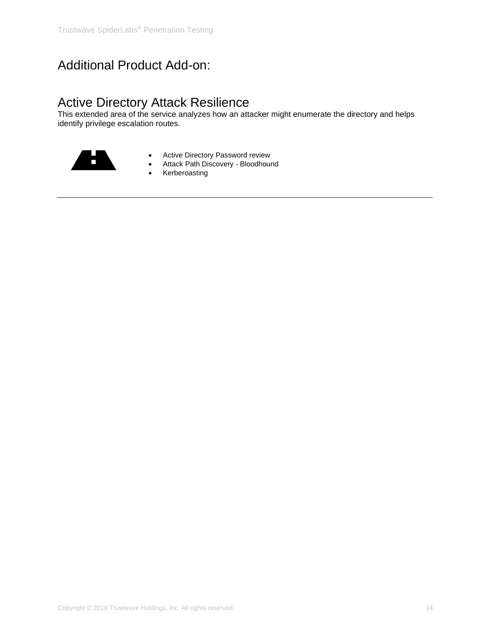#### Additional Product Add-on:

#### Active Directory Attack Resilience

This extended area of the service analyzes how an attacker might enumerate the directory and helps identify privilege escalation routes.



- Active Directory Password review
- Attack Path Discovery Bloodhound
- Kerberoasting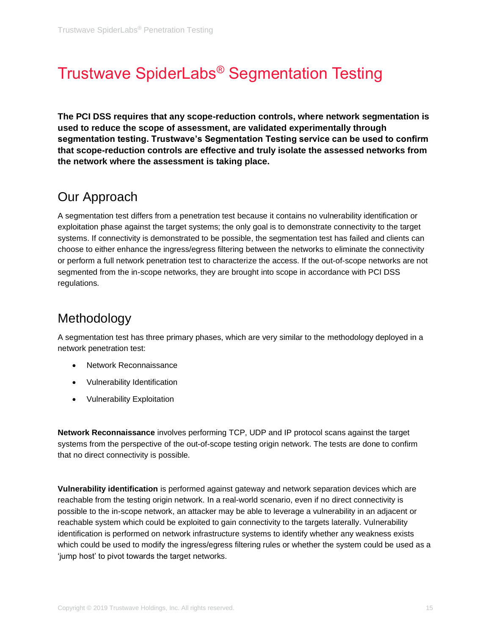## <span id="page-14-0"></span>Trustwave SpiderLabs® Segmentation Testing

**The PCI DSS requires that any scope-reduction controls, where network segmentation is used to reduce the scope of assessment, are validated experimentally through segmentation testing. Trustwave's Segmentation Testing service can be used to confirm that scope-reduction controls are effective and truly isolate the assessed networks from the network where the assessment is taking place.**

#### Our Approach

A segmentation test differs from a penetration test because it contains no vulnerability identification or exploitation phase against the target systems; the only goal is to demonstrate connectivity to the target systems. If connectivity is demonstrated to be possible, the segmentation test has failed and clients can choose to either enhance the ingress/egress filtering between the networks to eliminate the connectivity or perform a full network penetration test to characterize the access. If the out-of-scope networks are not segmented from the in-scope networks, they are brought into scope in accordance with PCI DSS regulations.

#### Methodology

A segmentation test has three primary phases, which are very similar to the methodology deployed in a network penetration test:

- Network Reconnaissance
- Vulnerability Identification
- Vulnerability Exploitation

**Network Reconnaissance** involves performing TCP, UDP and IP protocol scans against the target systems from the perspective of the out-of-scope testing origin network. The tests are done to confirm that no direct connectivity is possible.

**Vulnerability identification** is performed against gateway and network separation devices which are reachable from the testing origin network. In a real-world scenario, even if no direct connectivity is possible to the in-scope network, an attacker may be able to leverage a vulnerability in an adjacent or reachable system which could be exploited to gain connectivity to the targets laterally. Vulnerability identification is performed on network infrastructure systems to identify whether any weakness exists which could be used to modify the ingress/egress filtering rules or whether the system could be used as a 'jump host' to pivot towards the target networks.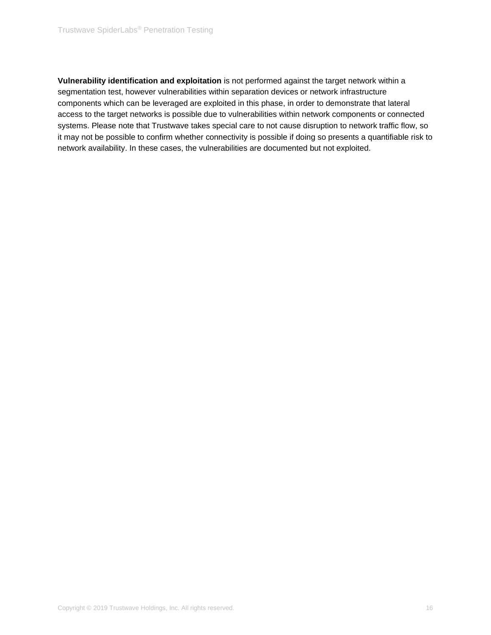**Vulnerability identification and exploitation** is not performed against the target network within a segmentation test, however vulnerabilities within separation devices or network infrastructure components which can be leveraged are exploited in this phase, in order to demonstrate that lateral access to the target networks is possible due to vulnerabilities within network components or connected systems. Please note that Trustwave takes special care to not cause disruption to network traffic flow, so it may not be possible to confirm whether connectivity is possible if doing so presents a quantifiable risk to network availability. In these cases, the vulnerabilities are documented but not exploited.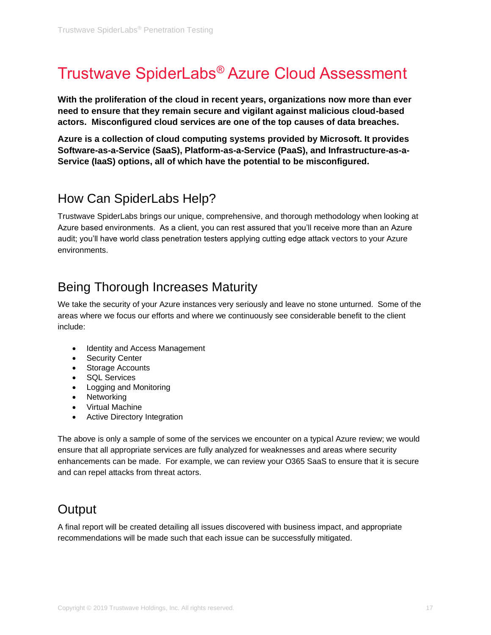## <span id="page-16-0"></span>Trustwave SpiderLabs® Azure Cloud Assessment

**With the proliferation of the cloud in recent years, organizations now more than ever need to ensure that they remain secure and vigilant against malicious cloud-based actors. Misconfigured cloud services are one of the top causes of data breaches.**

**Azure is a collection of cloud computing systems provided by Microsoft. It provides Software-as-a-Service (SaaS), Platform-as-a-Service (PaaS), and Infrastructure-as-a-Service (IaaS) options, all of which have the potential to be misconfigured.**

#### How Can SpiderLabs Help?

Trustwave SpiderLabs brings our unique, comprehensive, and thorough methodology when looking at Azure based environments. As a client, you can rest assured that you'll receive more than an Azure audit; you'll have world class penetration testers applying cutting edge attack vectors to your Azure environments.

#### Being Thorough Increases Maturity

We take the security of your Azure instances very seriously and leave no stone unturned. Some of the areas where we focus our efforts and where we continuously see considerable benefit to the client include:

- Identity and Access Management
- Security Center
- Storage Accounts
- SQL Services
- Logging and Monitoring
- Networking
- Virtual Machine
- Active Directory Integration

The above is only a sample of some of the services we encounter on a typical Azure review; we would ensure that all appropriate services are fully analyzed for weaknesses and areas where security enhancements can be made. For example, we can review your O365 SaaS to ensure that it is secure and can repel attacks from threat actors.

#### **Output**

A final report will be created detailing all issues discovered with business impact, and appropriate recommendations will be made such that each issue can be successfully mitigated.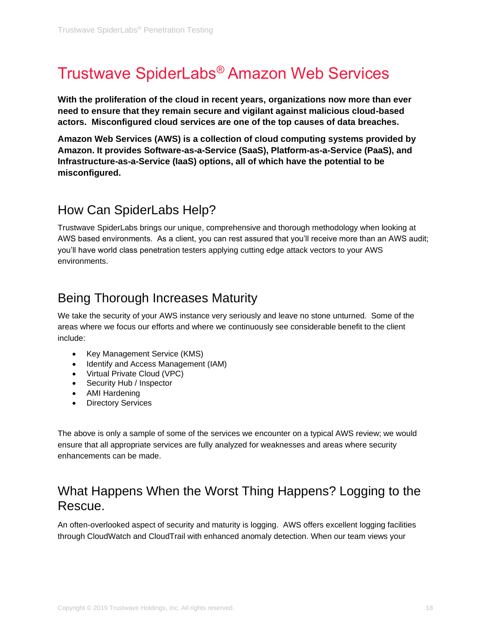## <span id="page-17-0"></span>Trustwave SpiderLabs® Amazon Web Services

**With the proliferation of the cloud in recent years, organizations now more than ever need to ensure that they remain secure and vigilant against malicious cloud-based actors. Misconfigured cloud services are one of the top causes of data breaches.**

**Amazon Web Services (AWS) is a collection of cloud computing systems provided by Amazon. It provides Software-as-a-Service (SaaS), Platform-as-a-Service (PaaS), and Infrastructure-as-a-Service (IaaS) options, all of which have the potential to be misconfigured.**

#### How Can SpiderLabs Help?

Trustwave SpiderLabs brings our unique, comprehensive and thorough methodology when looking at AWS based environments. As a client, you can rest assured that you'll receive more than an AWS audit; you'll have world class penetration testers applying cutting edge attack vectors to your AWS environments.

#### Being Thorough Increases Maturity

We take the security of your AWS instance very seriously and leave no stone unturned. Some of the areas where we focus our efforts and where we continuously see considerable benefit to the client include:

- Key Management Service (KMS)
- Identify and Access Management (IAM)
- Virtual Private Cloud (VPC)
- Security Hub / Inspector
- AMI Hardening
- Directory Services

The above is only a sample of some of the services we encounter on a typical AWS review; we would ensure that all appropriate services are fully analyzed for weaknesses and areas where security enhancements can be made.

#### What Happens When the Worst Thing Happens? Logging to the Rescue.

An often-overlooked aspect of security and maturity is logging. AWS offers excellent logging facilities through CloudWatch and CloudTrail with enhanced anomaly detection. When our team views your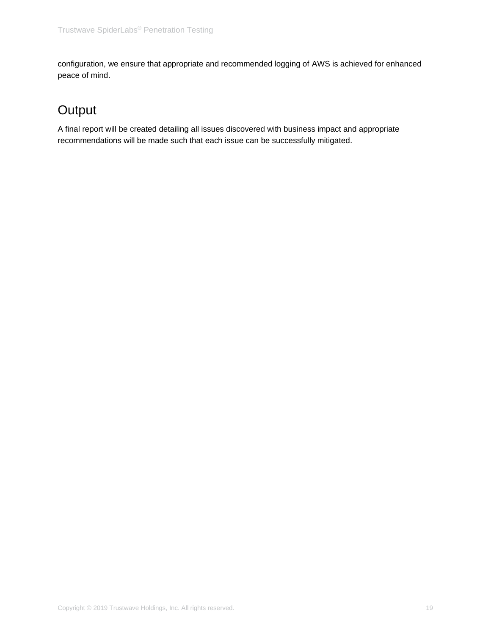configuration, we ensure that appropriate and recommended logging of AWS is achieved for enhanced peace of mind.

#### **Output**

A final report will be created detailing all issues discovered with business impact and appropriate recommendations will be made such that each issue can be successfully mitigated.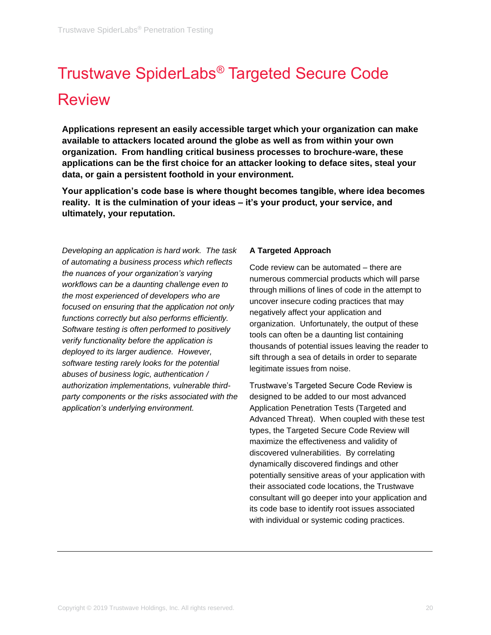# <span id="page-19-0"></span>Trustwave SpiderLabs® Targeted Secure Code Review

**Applications represent an easily accessible target which your organization can make available to attackers located around the globe as well as from within your own organization. From handling critical business processes to brochure-ware, these applications can be the first choice for an attacker looking to deface sites, steal your data, or gain a persistent foothold in your environment.** 

**Your application's code base is where thought becomes tangible, where idea becomes reality. It is the culmination of your ideas – it's your product, your service, and ultimately, your reputation.**

*Developing an application is hard work. The task of automating a business process which reflects the nuances of your organization's varying workflows can be a daunting challenge even to the most experienced of developers who are focused on ensuring that the application not only functions correctly but also performs efficiently. Software testing is often performed to positively verify functionality before the application is deployed to its larger audience. However, software testing rarely looks for the potential abuses of business logic, authentication / authorization implementations, vulnerable thirdparty components or the risks associated with the application's underlying environment.*

#### **A Targeted Approach**

Code review can be automated – there are numerous commercial products which will parse through millions of lines of code in the attempt to uncover insecure coding practices that may negatively affect your application and organization. Unfortunately, the output of these tools can often be a daunting list containing thousands of potential issues leaving the reader to sift through a sea of details in order to separate legitimate issues from noise.

Trustwave's Targeted Secure Code Review is designed to be added to our most advanced Application Penetration Tests (Targeted and Advanced Threat). When coupled with these test types, the Targeted Secure Code Review will maximize the effectiveness and validity of discovered vulnerabilities. By correlating dynamically discovered findings and other potentially sensitive areas of your application with their associated code locations, the Trustwave consultant will go deeper into your application and its code base to identify root issues associated with individual or systemic coding practices.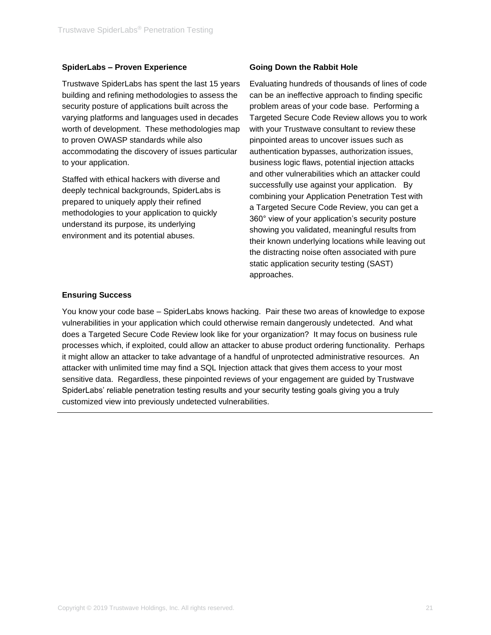#### **SpiderLabs – Proven Experience**

Trustwave SpiderLabs has spent the last 15 years building and refining methodologies to assess the security posture of applications built across the varying platforms and languages used in decades worth of development. These methodologies map to proven OWASP standards while also accommodating the discovery of issues particular to your application.

Staffed with ethical hackers with diverse and deeply technical backgrounds, SpiderLabs is prepared to uniquely apply their refined methodologies to your application to quickly understand its purpose, its underlying environment and its potential abuses.

#### **Going Down the Rabbit Hole**

Evaluating hundreds of thousands of lines of code can be an ineffective approach to finding specific problem areas of your code base. Performing a Targeted Secure Code Review allows you to work with your Trustwave consultant to review these pinpointed areas to uncover issues such as authentication bypasses, authorization issues, business logic flaws, potential injection attacks and other vulnerabilities which an attacker could successfully use against your application. By combining your Application Penetration Test with a Targeted Secure Code Review, you can get a 360° view of your application's security posture showing you validated, meaningful results from their known underlying locations while leaving out the distracting noise often associated with pure static application security testing (SAST) approaches.

#### **Ensuring Success**

You know your code base – SpiderLabs knows hacking. Pair these two areas of knowledge to expose vulnerabilities in your application which could otherwise remain dangerously undetected. And what does a Targeted Secure Code Review look like for your organization? It may focus on business rule processes which, if exploited, could allow an attacker to abuse product ordering functionality. Perhaps it might allow an attacker to take advantage of a handful of unprotected administrative resources. An attacker with unlimited time may find a SQL Injection attack that gives them access to your most sensitive data. Regardless, these pinpointed reviews of your engagement are guided by Trustwave SpiderLabs' reliable penetration testing results and your security testing goals giving you a truly customized view into previously undetected vulnerabilities.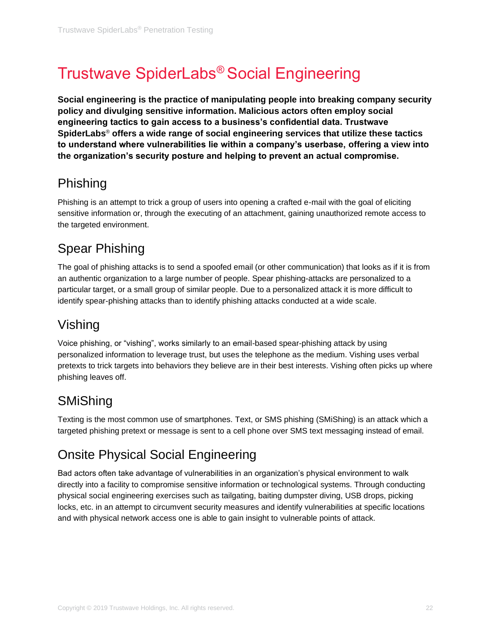# <span id="page-21-0"></span>Trustwave SpiderLabs® Social Engineering

**Social engineering is the practice of manipulating people into breaking company security policy and divulging sensitive information. Malicious actors often employ social engineering tactics to gain access to a business's confidential data. Trustwave SpiderLabs**® **offers a wide range of social engineering services that utilize these tactics to understand where vulnerabilities lie within a company's userbase, offering a view into the organization's security posture and helping to prevent an actual compromise.** 

#### Phishing

Phishing is an attempt to trick a group of users into opening a crafted e-mail with the goal of eliciting sensitive information or, through the executing of an attachment, gaining unauthorized remote access to the targeted environment.

### Spear Phishing

The goal of phishing attacks is to send a spoofed email (or other communication) that looks as if it is from an authentic organization to a large number of people. Spear phishing-attacks are personalized to a particular target, or a small group of similar people. Due to a personalized attack it is more difficult to identify spear-phishing attacks than to identify phishing attacks conducted at a wide scale.

### Vishing

Voice phishing, or "vishing", works similarly to an email-based spear-phishing attack by using personalized information to leverage trust, but uses the telephone as the medium. Vishing uses verbal pretexts to trick targets into behaviors they believe are in their best interests. Vishing often picks up where phishing leaves off.

### **SMiShing**

Texting is the most common use of smartphones. Text, or SMS phishing (SMiShing) is an attack which a targeted phishing pretext or message is sent to a cell phone over SMS text messaging instead of email.

### Onsite Physical Social Engineering

Bad actors often take advantage of vulnerabilities in an organization's physical environment to walk directly into a facility to compromise sensitive information or technological systems. Through conducting physical social engineering exercises such as tailgating, baiting dumpster diving, USB drops, picking locks, etc. in an attempt to circumvent security measures and identify vulnerabilities at specific locations and with physical network access one is able to gain insight to vulnerable points of attack.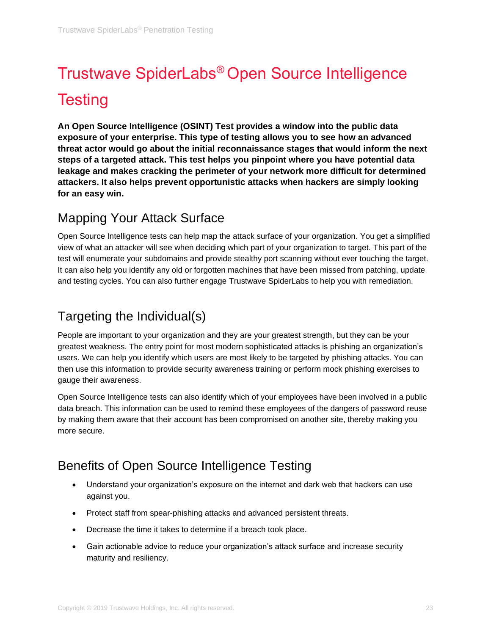# <span id="page-22-0"></span>Trustwave SpiderLabs® Open Source Intelligence **Testing**

**An Open Source Intelligence (OSINT) Test provides a window into the public data exposure of your enterprise. This type of testing allows you to see how an advanced threat actor would go about the initial reconnaissance stages that would inform the next steps of a targeted attack. This test helps you pinpoint where you have potential data leakage and makes cracking the perimeter of your network more difficult for determined attackers. It also helps prevent opportunistic attacks when hackers are simply looking for an easy win.**

#### Mapping Your Attack Surface

Open Source Intelligence tests can help map the attack surface of your organization. You get a simplified view of what an attacker will see when deciding which part of your organization to target. This part of the test will enumerate your subdomains and provide stealthy port scanning without ever touching the target. It can also help you identify any old or forgotten machines that have been missed from patching, update and testing cycles. You can also further engage Trustwave SpiderLabs to help you with remediation.

#### Targeting the Individual(s)

People are important to your organization and they are your greatest strength, but they can be your greatest weakness. The entry point for most modern sophisticated attacks is phishing an organization's users. We can help you identify which users are most likely to be targeted by phishing attacks. You can then use this information to provide security awareness training or perform mock phishing exercises to gauge their awareness.

Open Source Intelligence tests can also identify which of your employees have been involved in a public data breach. This information can be used to remind these employees of the dangers of password reuse by making them aware that their account has been compromised on another site, thereby making you more secure.

### Benefits of Open Source Intelligence Testing

- Understand your organization's exposure on the internet and dark web that hackers can use against you.
- Protect staff from spear-phishing attacks and advanced persistent threats.
- Decrease the time it takes to determine if a breach took place.
- Gain actionable advice to reduce your organization's attack surface and increase security maturity and resiliency.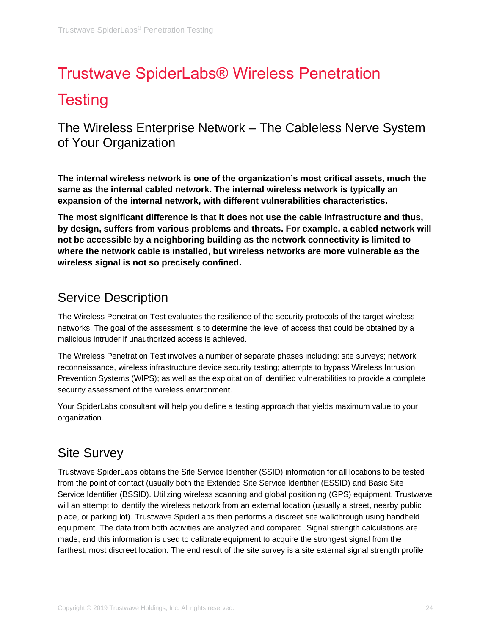# <span id="page-23-0"></span>Trustwave SpiderLabs® Wireless Penetration **Testing**

The Wireless Enterprise Network – The Cableless Nerve System of Your Organization

**The internal wireless network is one of the organization's most critical assets, much the same as the internal cabled network. The internal wireless network is typically an expansion of the internal network, with different vulnerabilities characteristics.**

**The most significant difference is that it does not use the cable infrastructure and thus, by design, suffers from various problems and threats. For example, a cabled network will not be accessible by a neighboring building as the network connectivity is limited to where the network cable is installed, but wireless networks are more vulnerable as the wireless signal is not so precisely confined.**

#### Service Description

The Wireless Penetration Test evaluates the resilience of the security protocols of the target wireless networks. The goal of the assessment is to determine the level of access that could be obtained by a malicious intruder if unauthorized access is achieved.

The Wireless Penetration Test involves a number of separate phases including: site surveys; network reconnaissance, wireless infrastructure device security testing; attempts to bypass Wireless Intrusion Prevention Systems (WIPS); as well as the exploitation of identified vulnerabilities to provide a complete security assessment of the wireless environment.

Your SpiderLabs consultant will help you define a testing approach that yields maximum value to your organization.

#### Site Survey

Trustwave SpiderLabs obtains the Site Service Identifier (SSID) information for all locations to be tested from the point of contact (usually both the Extended Site Service Identifier (ESSID) and Basic Site Service Identifier (BSSID). Utilizing wireless scanning and global positioning (GPS) equipment, Trustwave will an attempt to identify the wireless network from an external location (usually a street, nearby public place, or parking lot). Trustwave SpiderLabs then performs a discreet site walkthrough using handheld equipment. The data from both activities are analyzed and compared. Signal strength calculations are made, and this information is used to calibrate equipment to acquire the strongest signal from the farthest, most discreet location. The end result of the site survey is a site external signal strength profile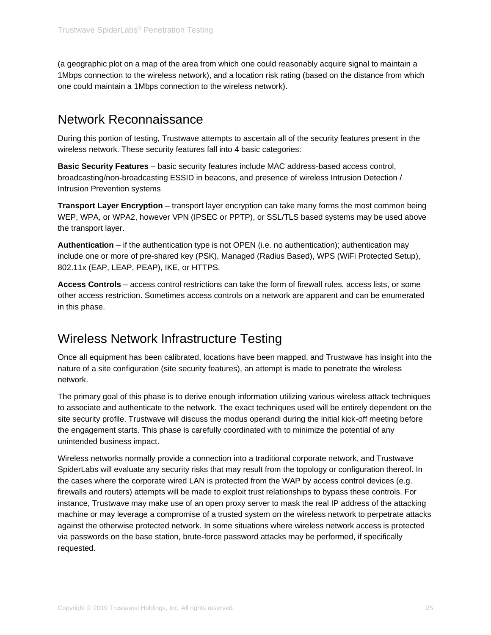(a geographic plot on a map of the area from which one could reasonably acquire signal to maintain a 1Mbps connection to the wireless network), and a location risk rating (based on the distance from which one could maintain a 1Mbps connection to the wireless network).

#### Network Reconnaissance

During this portion of testing, Trustwave attempts to ascertain all of the security features present in the wireless network. These security features fall into 4 basic categories:

**Basic Security Features** – basic security features include MAC address-based access control, broadcasting/non-broadcasting ESSID in beacons, and presence of wireless Intrusion Detection / Intrusion Prevention systems

**Transport Layer Encryption** – transport layer encryption can take many forms the most common being WEP, WPA, or WPA2, however VPN (IPSEC or PPTP), or SSL/TLS based systems may be used above the transport layer.

**Authentication** – if the authentication type is not OPEN (i.e. no authentication); authentication may include one or more of pre-shared key (PSK), Managed (Radius Based), WPS (WiFi Protected Setup), 802.11x (EAP, LEAP, PEAP), IKE, or HTTPS.

**Access Controls** – access control restrictions can take the form of firewall rules, access lists, or some other access restriction. Sometimes access controls on a network are apparent and can be enumerated in this phase.

#### Wireless Network Infrastructure Testing

Once all equipment has been calibrated, locations have been mapped, and Trustwave has insight into the nature of a site configuration (site security features), an attempt is made to penetrate the wireless network.

The primary goal of this phase is to derive enough information utilizing various wireless attack techniques to associate and authenticate to the network. The exact techniques used will be entirely dependent on the site security profile. Trustwave will discuss the modus operandi during the initial kick-off meeting before the engagement starts. This phase is carefully coordinated with to minimize the potential of any unintended business impact.

Wireless networks normally provide a connection into a traditional corporate network, and Trustwave SpiderLabs will evaluate any security risks that may result from the topology or configuration thereof. In the cases where the corporate wired LAN is protected from the WAP by access control devices (e.g. firewalls and routers) attempts will be made to exploit trust relationships to bypass these controls. For instance, Trustwave may make use of an open proxy server to mask the real IP address of the attacking machine or may leverage a compromise of a trusted system on the wireless network to perpetrate attacks against the otherwise protected network. In some situations where wireless network access is protected via passwords on the base station, brute-force password attacks may be performed, if specifically requested.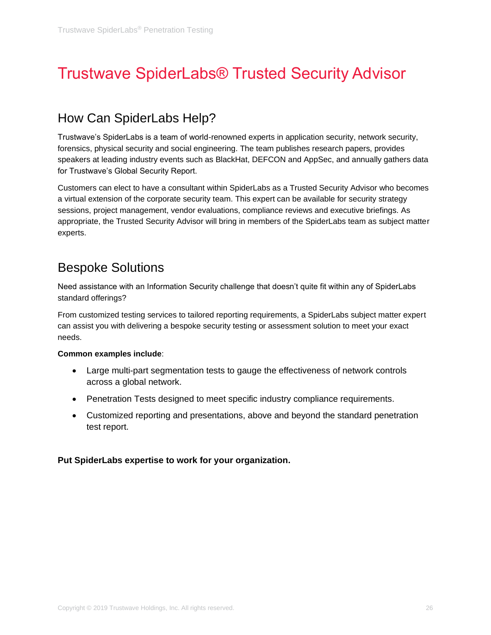# <span id="page-25-0"></span>Trustwave SpiderLabs® Trusted Security Advisor

#### How Can SpiderLabs Help?

Trustwave's SpiderLabs is a team of world-renowned experts in application security, network security, forensics, physical security and social engineering. The team publishes research papers, provides speakers at leading industry events such as BlackHat, DEFCON and AppSec, and annually gathers data for Trustwave's Global Security Report.

Customers can elect to have a consultant within SpiderLabs as a Trusted Security Advisor who becomes a virtual extension of the corporate security team. This expert can be available for security strategy sessions, project management, vendor evaluations, compliance reviews and executive briefings. As appropriate, the Trusted Security Advisor will bring in members of the SpiderLabs team as subject matter experts.

#### Bespoke Solutions

Need assistance with an Information Security challenge that doesn't quite fit within any of SpiderLabs standard offerings?

From customized testing services to tailored reporting requirements, a SpiderLabs subject matter expert can assist you with delivering a bespoke security testing or assessment solution to meet your exact needs.

#### **Common examples include**:

- Large multi-part segmentation tests to gauge the effectiveness of network controls across a global network.
- Penetration Tests designed to meet specific industry compliance requirements.
- Customized reporting and presentations, above and beyond the standard penetration test report.

#### **Put SpiderLabs expertise to work for your organization.**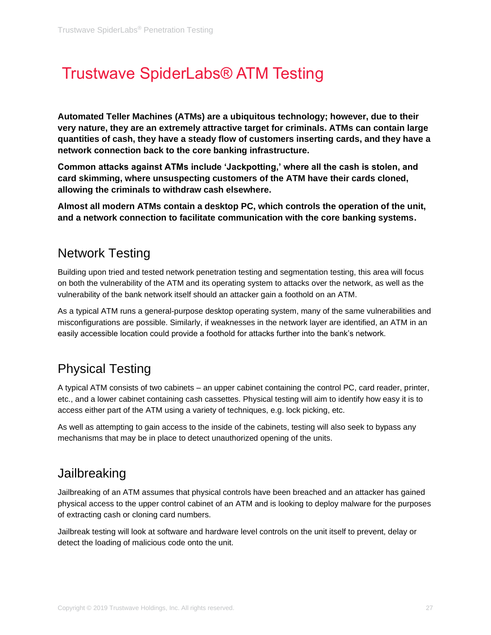## <span id="page-26-0"></span>Trustwave SpiderLabs® ATM Testing

**Automated Teller Machines (ATMs) are a ubiquitous technology; however, due to their very nature, they are an extremely attractive target for criminals. ATMs can contain large quantities of cash, they have a steady flow of customers inserting cards, and they have a network connection back to the core banking infrastructure.**

**Common attacks against ATMs include 'Jackpotting,' where all the cash is stolen, and card skimming, where unsuspecting customers of the ATM have their cards cloned, allowing the criminals to withdraw cash elsewhere.**

**Almost all modern ATMs contain a desktop PC, which controls the operation of the unit, and a network connection to facilitate communication with the core banking systems.**

#### Network Testing

Building upon tried and tested network penetration testing and segmentation testing, this area will focus on both the vulnerability of the ATM and its operating system to attacks over the network, as well as the vulnerability of the bank network itself should an attacker gain a foothold on an ATM.

As a typical ATM runs a general-purpose desktop operating system, many of the same vulnerabilities and misconfigurations are possible. Similarly, if weaknesses in the network layer are identified, an ATM in an easily accessible location could provide a foothold for attacks further into the bank's network.

### Physical Testing

A typical ATM consists of two cabinets – an upper cabinet containing the control PC, card reader, printer, etc., and a lower cabinet containing cash cassettes. Physical testing will aim to identify how easy it is to access either part of the ATM using a variety of techniques, e.g. lock picking, etc.

As well as attempting to gain access to the inside of the cabinets, testing will also seek to bypass any mechanisms that may be in place to detect unauthorized opening of the units.

#### **Jailbreaking**

Jailbreaking of an ATM assumes that physical controls have been breached and an attacker has gained physical access to the upper control cabinet of an ATM and is looking to deploy malware for the purposes of extracting cash or cloning card numbers.

Jailbreak testing will look at software and hardware level controls on the unit itself to prevent, delay or detect the loading of malicious code onto the unit.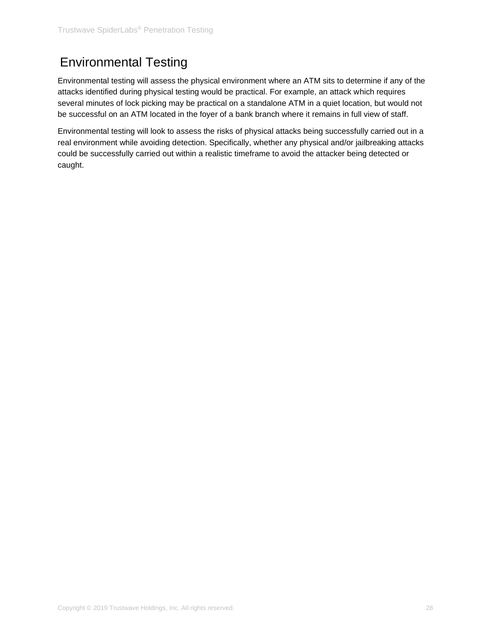### Environmental Testing

Environmental testing will assess the physical environment where an ATM sits to determine if any of the attacks identified during physical testing would be practical. For example, an attack which requires several minutes of lock picking may be practical on a standalone ATM in a quiet location, but would not be successful on an ATM located in the foyer of a bank branch where it remains in full view of staff.

Environmental testing will look to assess the risks of physical attacks being successfully carried out in a real environment while avoiding detection. Specifically, whether any physical and/or jailbreaking attacks could be successfully carried out within a realistic timeframe to avoid the attacker being detected or caught.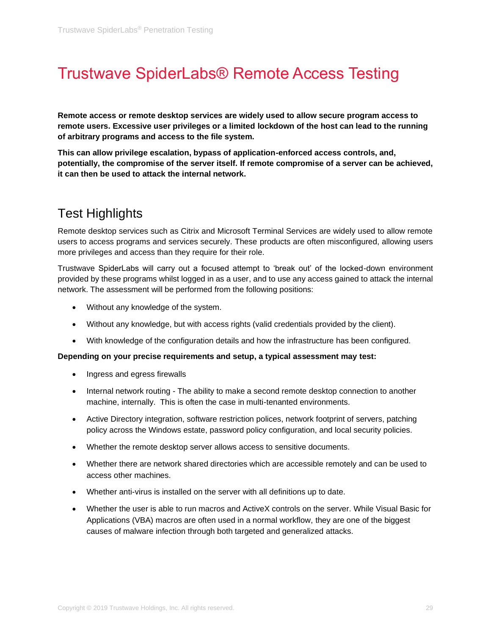## <span id="page-28-0"></span>Trustwave SpiderLabs® Remote Access Testing

**Remote access or remote desktop services are widely used to allow secure program access to remote users. Excessive user privileges or a limited lockdown of the host can lead to the running of arbitrary programs and access to the file system.**

**This can allow privilege escalation, bypass of application-enforced access controls, and, potentially, the compromise of the server itself. If remote compromise of a server can be achieved, it can then be used to attack the internal network.**

#### Test Highlights

Remote desktop services such as Citrix and Microsoft Terminal Services are widely used to allow remote users to access programs and services securely. These products are often misconfigured, allowing users more privileges and access than they require for their role.

Trustwave SpiderLabs will carry out a focused attempt to 'break out' of the locked-down environment provided by these programs whilst logged in as a user, and to use any access gained to attack the internal network. The assessment will be performed from the following positions:

- Without any knowledge of the system.
- Without any knowledge, but with access rights (valid credentials provided by the client).
- With knowledge of the configuration details and how the infrastructure has been configured.

#### **Depending on your precise requirements and setup, a typical assessment may test:**

- Ingress and egress firewalls
- Internal network routing The ability to make a second remote desktop connection to another machine, internally. This is often the case in multi-tenanted environments.
- Active Directory integration, software restriction polices, network footprint of servers, patching policy across the Windows estate, password policy configuration, and local security policies.
- Whether the remote desktop server allows access to sensitive documents.
- Whether there are network shared directories which are accessible remotely and can be used to access other machines.
- Whether anti-virus is installed on the server with all definitions up to date.
- Whether the user is able to run macros and ActiveX controls on the server. While Visual Basic for Applications (VBA) macros are often used in a normal workflow, they are one of the biggest causes of malware infection through both targeted and generalized attacks.